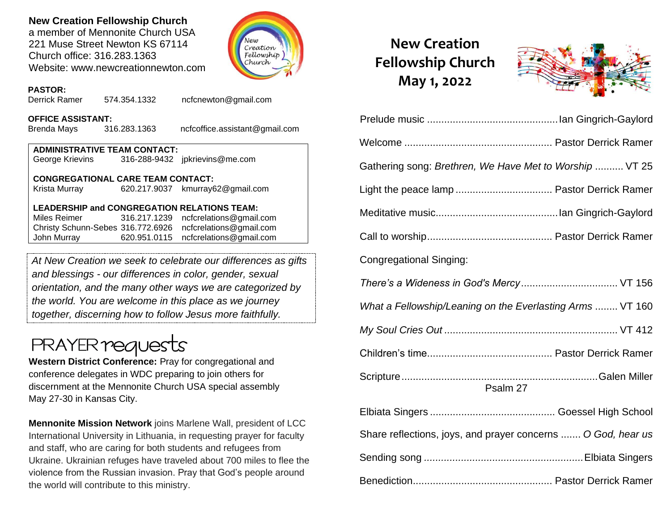### **New Creation Fellowship Church**

a member of Mennonite Church USA 221 Muse Street Newton KS 67114 Church office: 316.283.1363 Website: www.newcreationnewton.com



### **PASTOR:**

Derrick Ramer 574.354.1332 [ncfcnewton@gmail.com](mailto:ncfcnewton@gmail.com)

### **OFFICE ASSISTANT:**

Brenda Mays 316.283.1363 ncfcoffice.assistant@gmail.com

**ADMINISTRATIVE TEAM CONTACT:** George Krievins 316-288-9432 jpkrievins@me.com

### **CONGREGATIONAL CARE TEAM CONTACT:**

Krista Murray 620.217.9037 [kmurray62@gmail.com](mailto:kmurray62@gmail.com)

### **LEADERSHIP and CONGREGATION RELATIONS TEAM:**

Miles Reimer [316.217.1239](mailto:316.217.1239) [ncfcrelations@gmail.com](mailto:ncfcrelations@gmail.com) Christy Schunn-Sebes 316.772.6926 [ncfcrelations@gmail.com](mailto:ncfcrelations@gmail.com) John Murray 620.951.0115 [ncfcrelations@gmail.com](mailto:ncfcrelations@gmail.com)

*At New Creation we seek to celebrate our differences as gifts and blessings - our differences in color, gender, sexual orientation, and the many other ways we are categorized by the world. You are welcome in this place as we journey together, discerning how to follow Jesus more faithfully.*

# **PRAYER reques**

**Western District Conference:** Pray for congregational and conference delegates in WDC preparing to join others for discernment at the Mennonite Church USA special assembly May 27-30 in Kansas City.

**Mennonite Mission Network** joins Marlene Wall, president of LCC International University in Lithuania, in requesting prayer for faculty and staff, who are caring for both students and refugees from Ukraine. Ukrainian refuges have traveled about 700 miles to flee the violence from the Russian invasion. Pray that God's people around the world will contribute to this ministry.

# **New Creation Fellowship Church May 1, 2022**



| Gathering song: Brethren, We Have Met to Worship  VT 25      |
|--------------------------------------------------------------|
|                                                              |
|                                                              |
|                                                              |
| <b>Congregational Singing:</b>                               |
|                                                              |
| What a Fellowship/Leaning on the Everlasting Arms  VT 160    |
|                                                              |
|                                                              |
| Psalm 27                                                     |
|                                                              |
| Share reflections, joys, and prayer concerns  O God, hear us |
|                                                              |
|                                                              |